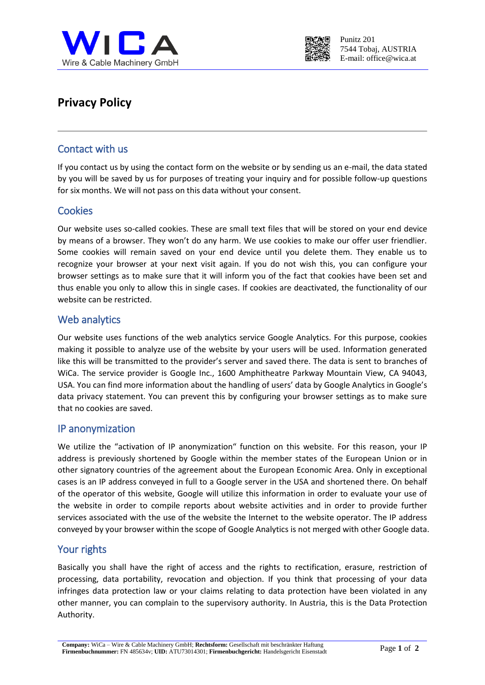



# **Privacy Policy**

### Contact with us

If you contact us by using the contact form on the website or by sending us an e-mail, the data stated by you will be saved by us for purposes of treating your inquiry and for possible follow-up questions for six months. We will not pass on this data without your consent.

### **Cookies**

Our website uses so-called cookies. These are small text files that will be stored on your end device by means of a browser. They won't do any harm. We use cookies to make our offer user friendlier. Some cookies will remain saved on your end device until you delete them. They enable us to recognize your browser at your next visit again. If you do not wish this, you can configure your browser settings as to make sure that it will inform you of the fact that cookies have been set and thus enable you only to allow this in single cases. If cookies are deactivated, the functionality of our website can be restricted.

### Web analytics

Our website uses functions of the web analytics service Google Analytics. For this purpose, cookies making it possible to analyze use of the website by your users will be used. Information generated like this will be transmitted to the provider's server and saved there. The data is sent to branches of WiCa. The service provider is Google Inc., 1600 Amphitheatre Parkway Mountain View, CA 94043, USA. You can find more information about the handling of users' data by Google Analytics in Google's data privacy statement. You can prevent this by configuring your browser settings as to make sure that no cookies are saved.

#### IP anonymization

We utilize the "activation of IP anonymization" function on this website. For this reason, your IP address is previously shortened by Google within the member states of the European Union or in other signatory countries of the agreement about the European Economic Area. Only in exceptional cases is an IP address conveyed in full to a Google server in the USA and shortened there. On behalf of the operator of this website, Google will utilize this information in order to evaluate your use of the website in order to compile reports about website activities and in order to provide further services associated with the use of the website the Internet to the website operator. The IP address conveyed by your browser within the scope of Google Analytics is not merged with other Google data.

### Your rights

Basically you shall have the right of access and the rights to rectification, erasure, restriction of processing, data portability, revocation and objection. If you think that processing of your data infringes data protection law or your claims relating to data protection have been violated in any other manner, you can complain to the supervisory authority. In Austria, this is the Data Protection Authority.